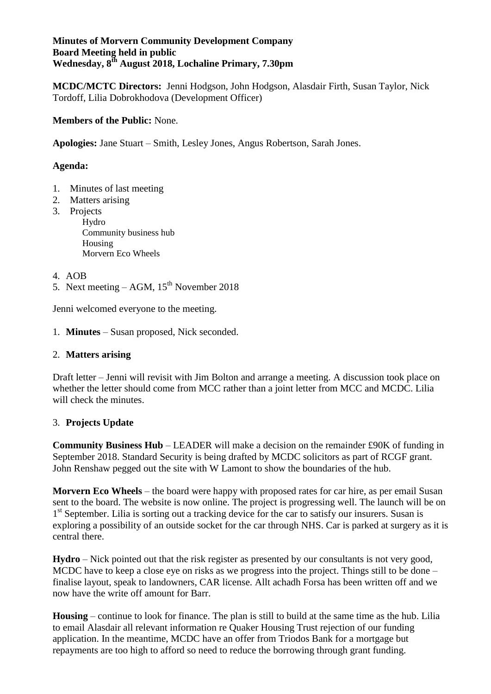#### **Minutes of Morvern Community Development Company Board Meeting held in public Wednesday, 8th August 2018, Lochaline Primary, 7.30pm**

**MCDC/MCTC Directors:** Jenni Hodgson, John Hodgson, Alasdair Firth, Susan Taylor, Nick Tordoff, Lilia Dobrokhodova (Development Officer)

## **Members of the Public:** None.

**Apologies:** Jane Stuart – Smith, Lesley Jones, Angus Robertson, Sarah Jones.

### **Agenda:**

- 1. Minutes of last meeting
- 2. Matters arising
- 3. Projects

Hydro Community business hub Housing Morvern Eco Wheels

4. AOB

5. Next meeting – AGM,  $15<sup>th</sup>$  November 2018

Jenni welcomed everyone to the meeting.

1. **Minutes** – Susan proposed, Nick seconded.

#### 2. **Matters arising**

Draft letter – Jenni will revisit with Jim Bolton and arrange a meeting. A discussion took place on whether the letter should come from MCC rather than a joint letter from MCC and MCDC. Lilia will check the minutes.

# 3. **Projects Update**

**Community Business Hub** – LEADER will make a decision on the remainder £90K of funding in September 2018. Standard Security is being drafted by MCDC solicitors as part of RCGF grant. John Renshaw pegged out the site with W Lamont to show the boundaries of the hub.

**Morvern Eco Wheels** – the board were happy with proposed rates for car hire, as per email Susan sent to the board. The website is now online. The project is progressing well. The launch will be on 1<sup>st</sup> September. Lilia is sorting out a tracking device for the car to satisfy our insurers. Susan is exploring a possibility of an outside socket for the car through NHS. Car is parked at surgery as it is central there.

**Hydro** – Nick pointed out that the risk register as presented by our consultants is not very good, MCDC have to keep a close eye on risks as we progress into the project. Things still to be done – finalise layout, speak to landowners, CAR license. Allt achadh Forsa has been written off and we now have the write off amount for Barr.

**Housing** – continue to look for finance. The plan is still to build at the same time as the hub. Lilia to email Alasdair all relevant information re Quaker Housing Trust rejection of our funding application. In the meantime, MCDC have an offer from Triodos Bank for a mortgage but repayments are too high to afford so need to reduce the borrowing through grant funding.